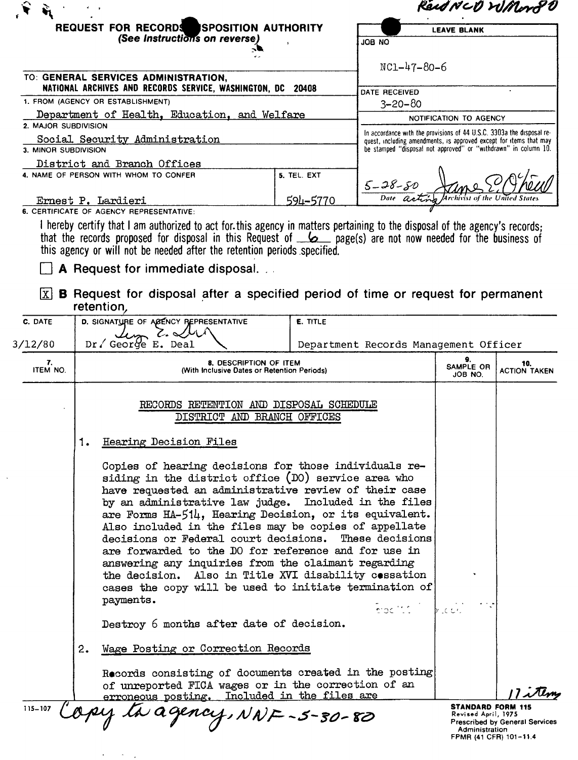|                                                          |                                                                       | Reid NCO WMord O                                                   |  |  |  |
|----------------------------------------------------------|-----------------------------------------------------------------------|--------------------------------------------------------------------|--|--|--|
| <b>SPOSITION AUTHORITY</b><br><b>REQUEST FOR RECORDS</b> |                                                                       | <b>LEAVE BLANK</b>                                                 |  |  |  |
| (See Instructions on reverse)                            |                                                                       | <b>JOB NO</b>                                                      |  |  |  |
|                                                          |                                                                       | NC1-47-80-6                                                        |  |  |  |
| TO: GENERAL SERVICES ADMINISTRATION,                     |                                                                       |                                                                    |  |  |  |
| NATIONAL ARCHIVES AND RECORDS SERVICE, WASHINGTON, DC    | DATE RECEIVED                                                         |                                                                    |  |  |  |
| 1. FROM (AGENCY OR ESTABLISHMENT)                        |                                                                       | $3 - 20 - 80$                                                      |  |  |  |
| Department of Health, Education, and Welfare             | NOTIFICATION TO AGENCY                                                |                                                                    |  |  |  |
| 2. MAJOR SUBDIVISION                                     | In accordance with the provisions of 44 U.S.C. 3303a the disposal re- |                                                                    |  |  |  |
| Social Security Administration                           |                                                                       | quest, including amendments, is approved except for items that may |  |  |  |
| 3. MINOR SUBDIVISION                                     |                                                                       | be stamped "disposal not approved" or "withdrawn" in column 10.    |  |  |  |
| District and Branch Offices                              |                                                                       |                                                                    |  |  |  |
| 4. NAME OF PERSON WITH WHOM TO CONFER                    | 5. TEL. EXT                                                           | $5 - 28 - 50$                                                      |  |  |  |
| Ernest P. Lardieri                                       | 594-5770                                                              | Date acting Archivist of the United States                         |  |  |  |
| 6. CERTIFICATE OF AGENCY REPRESENTATIVE:                 |                                                                       |                                                                    |  |  |  |

I hereby certify that I am authorized to act for. this agency in matters pertaining to the disposal of the agency's records; that the records proposed for disposal in this Request of <u>Come page(s)</u> are not now needed for the business of this agency or will not be needed after the retention periods .specified.

o **<sup>A</sup> Request for immediate disposal. . ,**

 $\bar{\star}$ 

 $\sim 200$  km s  $^{-1}$ 

 $\bar{\lambda}$ 

Ii] **<sup>B</sup> Request for disposal after <sup>a</sup> specified period of time or request for permanent retention**.

| C. DATE        |                                                                              | D. SIGNATURE OF AGENCY REPRESENTATIVE                                                                                                                                                                                                                                                                                                                                                                                                                                                                                                                                                                                                                                                                | E. TITLE                              |                                                                                             |                                       |
|----------------|------------------------------------------------------------------------------|------------------------------------------------------------------------------------------------------------------------------------------------------------------------------------------------------------------------------------------------------------------------------------------------------------------------------------------------------------------------------------------------------------------------------------------------------------------------------------------------------------------------------------------------------------------------------------------------------------------------------------------------------------------------------------------------------|---------------------------------------|---------------------------------------------------------------------------------------------|---------------------------------------|
| 3/12/80        |                                                                              | $\mathcal{L} \sim \mathcal{M}$<br>$Dr / George E.$ Deal                                                                                                                                                                                                                                                                                                                                                                                                                                                                                                                                                                                                                                              | Department Records Management Officer |                                                                                             |                                       |
| 7.<br>ITEM NO. | <b>8. DESCRIPTION OF ITEM</b><br>(With Inclusive Dates or Retention Periods) |                                                                                                                                                                                                                                                                                                                                                                                                                                                                                                                                                                                                                                                                                                      |                                       | 9.<br>SAMPLE OR<br>JOB NO.                                                                  | 10.<br><b>ACTION TAKEN</b>            |
|                |                                                                              | RECORDS RETENTION AND DISPOSAL SCHEDULE<br>DISTRICT AND BRANCH OFFICES                                                                                                                                                                                                                                                                                                                                                                                                                                                                                                                                                                                                                               |                                       |                                                                                             |                                       |
|                | 1.                                                                           | Hearing Decision Files                                                                                                                                                                                                                                                                                                                                                                                                                                                                                                                                                                                                                                                                               |                                       |                                                                                             |                                       |
|                |                                                                              | Copies of hearing decisions for those individuals re-<br>siding in the district office (DO) service area who<br>have requested an administrative review of their case<br>by an administrative law judge. Included in the files<br>are Forms HA-514, Hearing Decision, or its equivalent.<br>Also included in the files may be copies of appellate<br>decisions or Federal court decisions. These decisions<br>are forwarded to the DO for reference and for use in<br>answering any inquiries from the claimant regarding<br>the decision. Also in Title XVI disability cossation<br>cases the copy will be used to initiate termination of<br>payments.<br>Destroy 6 months after date of decision. | inderitis (1997)<br>Procinci          | かてした                                                                                        |                                       |
|                | 2.                                                                           | Wage Posting or Correction Records                                                                                                                                                                                                                                                                                                                                                                                                                                                                                                                                                                                                                                                                   |                                       |                                                                                             |                                       |
|                |                                                                              | Records consisting of documents created in the posting<br>of unreported FICA wages or in the correction of an<br>erroneous posting. Included in the files are                                                                                                                                                                                                                                                                                                                                                                                                                                                                                                                                        |                                       |                                                                                             | 7 items                               |
| 115-107        |                                                                              | ta agency, NNF-5-30-80                                                                                                                                                                                                                                                                                                                                                                                                                                                                                                                                                                                                                                                                               |                                       | <b>STANDARD FORM 115</b><br>Revised April, 1975<br>Administration<br>FPMR (41 CFR) 101-11.4 | <b>Prescribed by General Services</b> |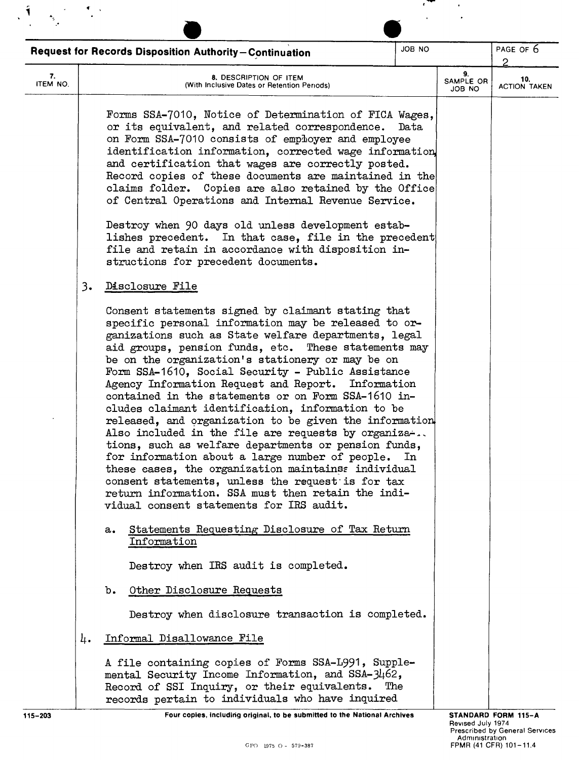|                |    | <b>Request for Records Disposition Authority-Continuation</b>                                                                                                                                                                                                                                                                                                                                                                                                                                                                                                                                                                                                                                                                                                                                                                                                                                                                                    | JOB NO |                           | PAGE OF 6                       |
|----------------|----|--------------------------------------------------------------------------------------------------------------------------------------------------------------------------------------------------------------------------------------------------------------------------------------------------------------------------------------------------------------------------------------------------------------------------------------------------------------------------------------------------------------------------------------------------------------------------------------------------------------------------------------------------------------------------------------------------------------------------------------------------------------------------------------------------------------------------------------------------------------------------------------------------------------------------------------------------|--------|---------------------------|---------------------------------|
| 7.<br>ITEM NO. |    | 8. DESCRIPTION OF ITEM<br>(With Inclusive Dates or Retention Periods)                                                                                                                                                                                                                                                                                                                                                                                                                                                                                                                                                                                                                                                                                                                                                                                                                                                                            |        | 9.<br>SAMPLE OR<br>JOB NO | 2<br>10.<br><b>ACTION TAKEN</b> |
|                |    | Forms SSA-7010, Notice of Determination of FICA Wages,<br>or its equivalent, and related correspondence.<br>on Form SSA-7010 consists of emphoyer and employee<br>identification information, corrected wage information<br>and certification that wages are correctly posted.<br>Record copies of these documents are maintained in the<br>claims folder. Copies are also retained by the Office<br>of Central Operations and Internal Revenue Service.<br>Destroy when 90 days old unless development estab-<br>lishes precedent. In that case, file in the precedent<br>file and retain in accordance with disposition in-<br>structions for precedent documents.                                                                                                                                                                                                                                                                             | Data   |                           |                                 |
|                | 3. | Disclosure File                                                                                                                                                                                                                                                                                                                                                                                                                                                                                                                                                                                                                                                                                                                                                                                                                                                                                                                                  |        |                           |                                 |
|                |    | Consent statements signed by claimant stating that<br>specific personal information may be released to or-<br>ganizations such as State welfare departments, legal<br>aid groups, pension funds, etc. These statements may<br>be on the organization's stationery or may be on<br>Form SSA-1610, Social Security - Public Assistance<br>Agency Information Request and Report. Information<br>contained in the statements or on Form SSA-1610 in-<br>cludes claimant identification, information to be<br>released, and organization to be given the information<br>Also included in the file are requests by organiza-<br>tions, such as welfare departments or pension funds,<br>for information about a large number of people.<br>these cases, the organization maintainss individual<br>consent statements, unless the request is for tax<br>return information. SSA must then retain the indi-<br>vidual consent statements for IRS audit. | In.    |                           |                                 |
|                |    | Statements Requesting Disclosure of Tax Return<br>а.<br>Information                                                                                                                                                                                                                                                                                                                                                                                                                                                                                                                                                                                                                                                                                                                                                                                                                                                                              |        |                           |                                 |
|                |    | Destroy when IRS audit is completed.                                                                                                                                                                                                                                                                                                                                                                                                                                                                                                                                                                                                                                                                                                                                                                                                                                                                                                             |        |                           |                                 |
|                |    | Other Disclosure Requests<br>b.                                                                                                                                                                                                                                                                                                                                                                                                                                                                                                                                                                                                                                                                                                                                                                                                                                                                                                                  |        |                           |                                 |
|                |    | Destroy when disclosure transaction is completed.                                                                                                                                                                                                                                                                                                                                                                                                                                                                                                                                                                                                                                                                                                                                                                                                                                                                                                |        |                           |                                 |
|                | 4. | Informal Disallowance File                                                                                                                                                                                                                                                                                                                                                                                                                                                                                                                                                                                                                                                                                                                                                                                                                                                                                                                       |        |                           |                                 |
|                |    | A file containing copies of Forms SSA-L991, Supple-<br>mental Security Income Information, and SSA-3462,<br>Record of SSI Inquiry, or their equivalents.<br>The<br>records pertain to individuals who have inquired                                                                                                                                                                                                                                                                                                                                                                                                                                                                                                                                                                                                                                                                                                                              |        |                           |                                 |

."

 $\mathcal{L}(\mathcal{F})$  and  $\mathcal{F}(\mathcal{F})$  $\mathcal{L}_{\text{max}}$  and  $\mathcal{L}_{\text{max}}$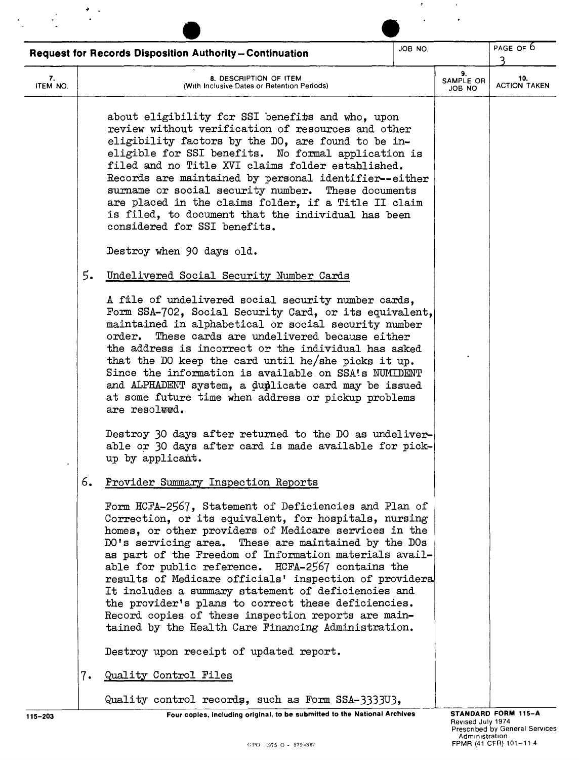|                |    | <b>Request for Records Disposition Authority-Continuation</b>                                                                                                                                                                                                                                                                                                                                                                                                                                                                                                                                                                        | JOB NO. |                           | PAGE OF 6<br>ર             |
|----------------|----|--------------------------------------------------------------------------------------------------------------------------------------------------------------------------------------------------------------------------------------------------------------------------------------------------------------------------------------------------------------------------------------------------------------------------------------------------------------------------------------------------------------------------------------------------------------------------------------------------------------------------------------|---------|---------------------------|----------------------------|
| 7.<br>ITEM NO. |    | 8. DESCRIPTION OF ITEM<br>(With Inclusive Dates or Retention Periods)                                                                                                                                                                                                                                                                                                                                                                                                                                                                                                                                                                |         | 9.<br>SAMPLE OR<br>JOB NO | 10.<br><b>ACTION TAKEN</b> |
|                |    | about eligibility for SSI benefits and who, upon<br>review without verification of resources and other<br>eligibility factors by the DO, are found to be in-<br>eligible for SSI benefits. No formal application is<br>filed and no Title XVI claims folder established.<br>Records are maintained by personal identifier--either<br>surname or social security number. These documents<br>are placed in the claims folder, if a Title II claim<br>is filed, to document that the individual has been<br>considered for SSI benefits.                                                                                                |         |                           |                            |
|                |    | Destroy when 90 days old.                                                                                                                                                                                                                                                                                                                                                                                                                                                                                                                                                                                                            |         |                           |                            |
|                | 5. | Undelivered Social Security Number Cards                                                                                                                                                                                                                                                                                                                                                                                                                                                                                                                                                                                             |         |                           |                            |
|                |    | A file of undelivered social security number cards,<br>Form SSA-702, Social Security Card, or its equivalent,<br>maintained in alphabetical or social security number<br>order.<br>These cards are undelivered because either<br>the address is incorrect or the individual has asked<br>that the DO keep the card until he/she picks it up.<br>Since the information is available on SSA's NUMIDENT<br>and ALPHADENT system, a duplicate card may be issued<br>at some future time when address or pickup problems<br>are resolved.                                                                                                 |         |                           |                            |
|                |    | Destroy 30 days after returned to the DO as undeliver-<br>able or 30 days after card is made available for pick-<br>up by applicant.                                                                                                                                                                                                                                                                                                                                                                                                                                                                                                 |         |                           |                            |
|                | 6. | Provider Summary Inspection Reports                                                                                                                                                                                                                                                                                                                                                                                                                                                                                                                                                                                                  |         |                           |                            |
|                |    | Form HCFA-2567, Statement of Deficiencies and Plan of<br>Correction, or its equivalent, for hospitals, nursing<br>homes, or other providers of Medicare services in the<br>DO's servicing area. These are maintained by the DOs<br>as part of the Freedom of Information materials avail-<br>able for public reference. HCFA-2567 contains the<br>results of Medicare officials' inspection of providers<br>It includes a summary statement of deficiencies and<br>the provider's plans to correct these deficiencies.<br>Record copies of these inspection reports are main-<br>tained by the Health Care Financing Administration. |         |                           |                            |
|                |    | Destroy upon receipt of updated report.                                                                                                                                                                                                                                                                                                                                                                                                                                                                                                                                                                                              |         |                           |                            |
|                | 7. | Quality Control Files                                                                                                                                                                                                                                                                                                                                                                                                                                                                                                                                                                                                                |         |                           |                            |
|                |    | Quality control records, such as Form SSA-3333U3,                                                                                                                                                                                                                                                                                                                                                                                                                                                                                                                                                                                    |         |                           |                            |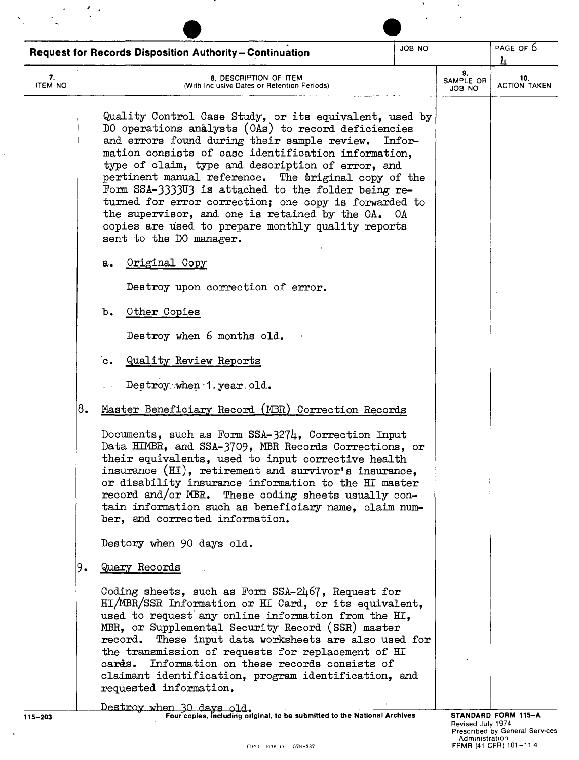|                      | <b>Request for Records Disposition Authority-Continuation</b>                                                                                                                                                                                                                                                                                                                                                                                                                                                                                                                           | JOB NO |                           | PAGE OF 6                  |
|----------------------|-----------------------------------------------------------------------------------------------------------------------------------------------------------------------------------------------------------------------------------------------------------------------------------------------------------------------------------------------------------------------------------------------------------------------------------------------------------------------------------------------------------------------------------------------------------------------------------------|--------|---------------------------|----------------------------|
| 7.<br><b>ITEM NO</b> | 8. DESCRIPTION OF ITEM<br>(With Inclusive Dates or Retention Periods)                                                                                                                                                                                                                                                                                                                                                                                                                                                                                                                   |        | 9.<br>SAMPLE OR<br>ON 80L | 10.<br><b>ACTION TAKEN</b> |
|                      | Quality Control Case Study, or its equivalent, used by<br>DO operations analysts (OAs) to record deficiencies<br>and errors found during their sample review.<br>mation consists of case identification information.<br>type of claim, type and description of error, and<br>pertinent manual reference. The original copy of the<br>Form SSA-3333U3 is attached to the folder being re-<br>turned for error correction; one copy is forwarded to<br>the supervisor, and one is retained by the OA. OA<br>copies are used to prepare monthly quality reports<br>sent to the DO manager. | Infor- |                           |                            |
|                      | Original Copy<br>a.<br>Destroy upon correction of error.                                                                                                                                                                                                                                                                                                                                                                                                                                                                                                                                |        |                           |                            |
|                      | ъ.<br>Other Copies                                                                                                                                                                                                                                                                                                                                                                                                                                                                                                                                                                      |        |                           |                            |
|                      | Destroy when 6 months old.                                                                                                                                                                                                                                                                                                                                                                                                                                                                                                                                                              |        |                           |                            |
|                      | Quality Review Reports<br>$c_{\bullet}$                                                                                                                                                                                                                                                                                                                                                                                                                                                                                                                                                 |        |                           |                            |
|                      | Destroy when 1 year old.                                                                                                                                                                                                                                                                                                                                                                                                                                                                                                                                                                |        |                           |                            |
| 18.                  | Master Beneficiary Record (MBR) Correction Records                                                                                                                                                                                                                                                                                                                                                                                                                                                                                                                                      |        |                           |                            |
|                      | Documents, such as Form SSA-3274, Correction Input<br>Data HIMBR, and SSA-3709, MBR Records Corrections, or<br>their equivalents, used to input corrective health<br>insurance (HI), retirement and survivor's insurance,<br>or disability insurance information to the HI master<br>record and/or MBR. These coding sheets usually con-<br>tain information such as beneficiary name, claim num-<br>ber, and corrected information.                                                                                                                                                    |        |                           |                            |
|                      | Destory when 90 days old.                                                                                                                                                                                                                                                                                                                                                                                                                                                                                                                                                               |        |                           |                            |
| 19.                  | Query Records                                                                                                                                                                                                                                                                                                                                                                                                                                                                                                                                                                           |        |                           |                            |
|                      | Coding sheets, such as Form SSA-2467, Request for<br>HI/MBR/SSR Information or HI Card, or its equivalent,<br>used to request any online information from the HI,<br>MBR, or Supplemental Security Record (SSR) master<br>record. These input data worksheets are also used for<br>the transmission of requests for replacement of HI<br>Information on these records consists of<br>cards.<br>claimant identification, program identification, and<br>requested information.                                                                                                           |        |                           |                            |
|                      | Destroy when 30 days old.                                                                                                                                                                                                                                                                                                                                                                                                                                                                                                                                                               |        |                           |                            |

Ξ

 $\hat{\mathbf{x}}$ 

 $\bar{\omega}$ 

115-203 **Four copies, including original, to be submitted to the National Archives** 

Revised July 1974 Prescribed by General Services Administration GPO 1975 () - 579-387 FPMR (41 CFR) 101-114

 $\mathcal{F}(\mathcal{F})$  and  $\mathcal{F}(\mathcal{F})$  $\sim 10^{-10}$  and  $\sim 10^{-10}$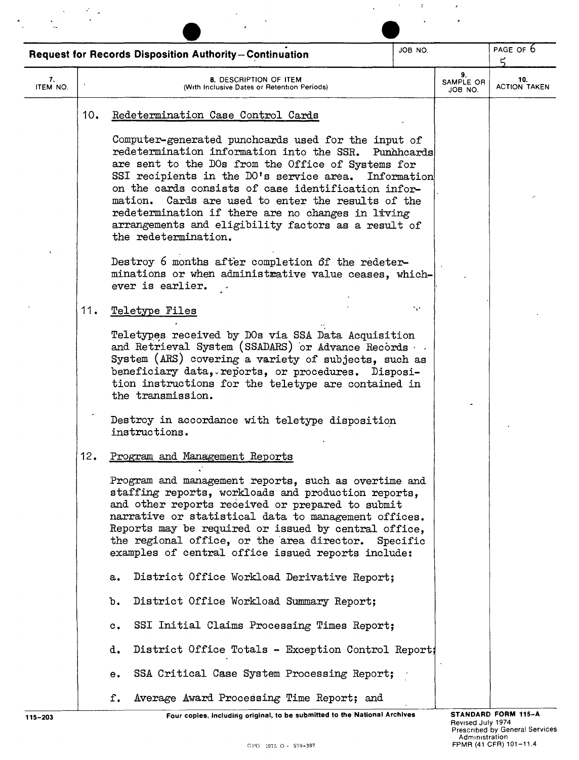|                | JOB NO.<br><b>Request for Records Disposition Authority-Continuation</b> |                                                                                                                                                                                                                                                                                                                                                                                                                                                                            |     |                            | PAGE OF 6<br>ς             |
|----------------|--------------------------------------------------------------------------|----------------------------------------------------------------------------------------------------------------------------------------------------------------------------------------------------------------------------------------------------------------------------------------------------------------------------------------------------------------------------------------------------------------------------------------------------------------------------|-----|----------------------------|----------------------------|
| 7.<br>ITEM NO. |                                                                          | <b>8. DESCRIPTION OF ITEM</b><br>(With Inclusive Dates or Retention Periods)                                                                                                                                                                                                                                                                                                                                                                                               |     | 9.<br>SAMPLE OR<br>JOB NO. | 10.<br><b>ACTION TAKEN</b> |
|                | 10.                                                                      | Redetermination Case Control Cards                                                                                                                                                                                                                                                                                                                                                                                                                                         |     |                            |                            |
|                |                                                                          | Computer-generated punchcards used for the input of<br>redetermination information into the SSR. Punhhcards<br>are sent to the DOs from the Office of Systems for<br>SSI recipients in the DO's service area. Information<br>on the cards consists of case identification infor-<br>mation. Cards are used to enter the results of the<br>redetermination if there are no changes in living<br>arrangements and eligibility factors as a result of<br>the redetermination. |     |                            |                            |
|                |                                                                          | Destroy 6 months after completion of the redeter-<br>minations or when administrative value ceases, which-<br>ever is earlier.                                                                                                                                                                                                                                                                                                                                             |     |                            |                            |
|                | 11.                                                                      | Teletype Files                                                                                                                                                                                                                                                                                                                                                                                                                                                             | ٠., |                            |                            |
|                |                                                                          | Teletypes received by DOs via SSA Data Acquisition<br>and Retrieval System (SSADARS) or Advance Records<br>System (ARS) covering a variety of subjects, such as<br>beneficiary data, reports, or procedures. Disposi-<br>tion instructions for the teletype are contained in<br>the transmission.                                                                                                                                                                          |     |                            |                            |
|                |                                                                          | Destroy in accordance with teletype disposition<br>instructions.                                                                                                                                                                                                                                                                                                                                                                                                           |     |                            |                            |
|                | 12.                                                                      | Program and Management Reports                                                                                                                                                                                                                                                                                                                                                                                                                                             |     |                            |                            |
|                |                                                                          | Program and management reports, such as overtime and<br>staffing reports, workloads and production reports,<br>and other reports received or prepared to submit<br>narrative or statistical data to management offices.<br>Reports may be required or issued by central office,<br>the regional office, or the area director. Specific<br>examples of central office issued reports include:                                                                               |     |                            |                            |
|                |                                                                          | District Office Workload Derivative Report;<br>a.                                                                                                                                                                                                                                                                                                                                                                                                                          |     |                            |                            |
|                |                                                                          | District Office Workload Summary Report;<br>b.                                                                                                                                                                                                                                                                                                                                                                                                                             |     |                            |                            |
|                |                                                                          | SSI Initial Claims Processing Times Report;<br>с.                                                                                                                                                                                                                                                                                                                                                                                                                          |     |                            |                            |
|                |                                                                          | District Office Totals - Exception Control Report;<br>d.                                                                                                                                                                                                                                                                                                                                                                                                                   |     |                            |                            |
|                |                                                                          | SSA Critical Case System Processing Report;<br>е.                                                                                                                                                                                                                                                                                                                                                                                                                          |     |                            |                            |
|                |                                                                          | Average Award Processing Time Report; and<br>f.                                                                                                                                                                                                                                                                                                                                                                                                                            |     |                            |                            |
| 115-203        |                                                                          | Four copies, including original, to be submitted to the National Archives                                                                                                                                                                                                                                                                                                                                                                                                  |     |                            | STANDARD FORM 115-A        |

 $\label{eq:2} \frac{d\mathbf{y}}{d\mathbf{x}} = \frac{d\mathbf{y}}{d\mathbf{x}} \frac{d\mathbf{y}}{d\mathbf{x}} \frac{d\mathbf{y}}{d\mathbf{x}}$ 

 $\label{eq:2.1} \mathcal{L}_{\mathcal{A}}(\mathbf{x}) = \mathcal{L}_{\mathcal{A}}(\mathbf{x}) = \mathbf{1}_{\mathcal{A}}(\mathbf{x}) = \mathcal{A}(\mathbf{x})$